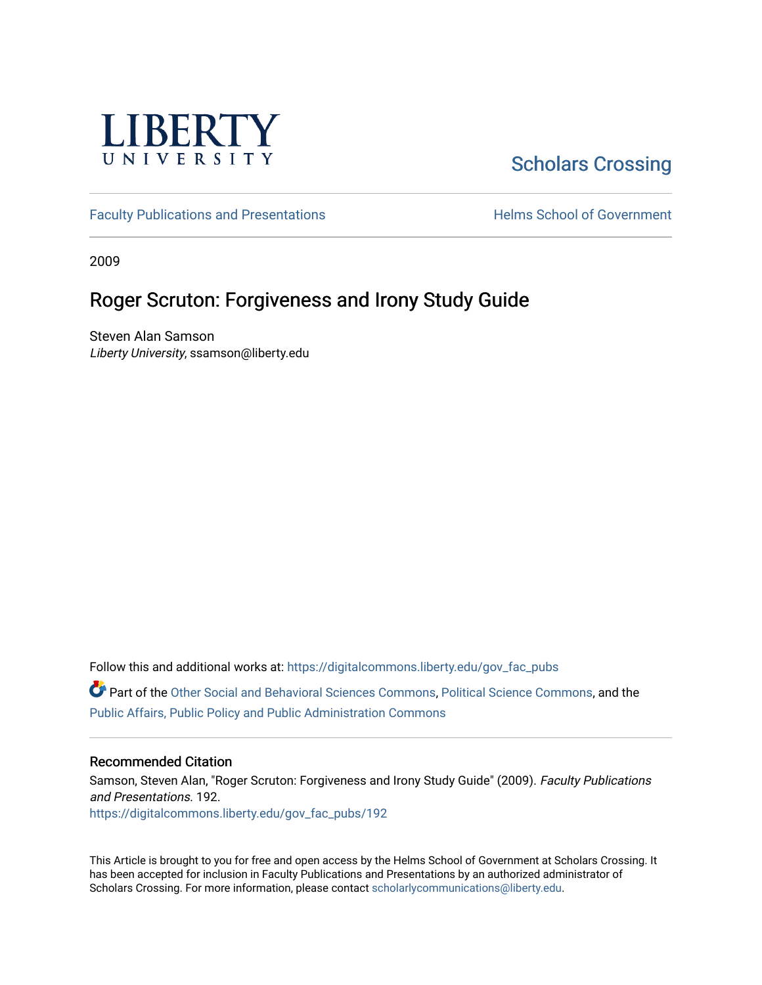

# [Scholars Crossing](https://digitalcommons.liberty.edu/)

[Faculty Publications and Presentations](https://digitalcommons.liberty.edu/gov_fac_pubs) **Exercise School of Government** 

2009

### Roger Scruton: Forgiveness and Irony Study Guide

Steven Alan Samson Liberty University, ssamson@liberty.edu

Follow this and additional works at: [https://digitalcommons.liberty.edu/gov\\_fac\\_pubs](https://digitalcommons.liberty.edu/gov_fac_pubs?utm_source=digitalcommons.liberty.edu%2Fgov_fac_pubs%2F192&utm_medium=PDF&utm_campaign=PDFCoverPages)

Part of the [Other Social and Behavioral Sciences Commons](http://network.bepress.com/hgg/discipline/437?utm_source=digitalcommons.liberty.edu%2Fgov_fac_pubs%2F192&utm_medium=PDF&utm_campaign=PDFCoverPages), [Political Science Commons](http://network.bepress.com/hgg/discipline/386?utm_source=digitalcommons.liberty.edu%2Fgov_fac_pubs%2F192&utm_medium=PDF&utm_campaign=PDFCoverPages), and the [Public Affairs, Public Policy and Public Administration Commons](http://network.bepress.com/hgg/discipline/393?utm_source=digitalcommons.liberty.edu%2Fgov_fac_pubs%2F192&utm_medium=PDF&utm_campaign=PDFCoverPages)

### Recommended Citation

Samson, Steven Alan, "Roger Scruton: Forgiveness and Irony Study Guide" (2009). Faculty Publications and Presentations. 192. [https://digitalcommons.liberty.edu/gov\\_fac\\_pubs/192](https://digitalcommons.liberty.edu/gov_fac_pubs/192?utm_source=digitalcommons.liberty.edu%2Fgov_fac_pubs%2F192&utm_medium=PDF&utm_campaign=PDFCoverPages)

This Article is brought to you for free and open access by the Helms School of Government at Scholars Crossing. It has been accepted for inclusion in Faculty Publications and Presentations by an authorized administrator of Scholars Crossing. For more information, please contact [scholarlycommunications@liberty.edu.](mailto:scholarlycommunications@liberty.edu)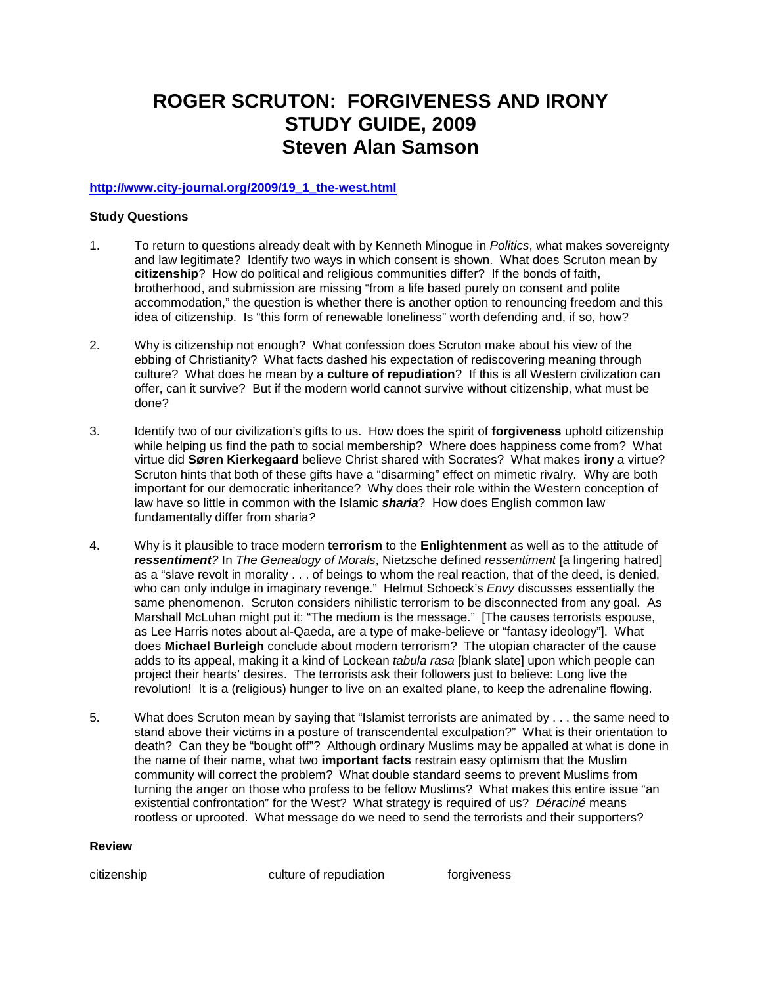## **ROGER SCRUTON: FORGIVENESS AND IRONY STUDY GUIDE, 2009 Steven Alan Samson**

### **[http://www.city-journal.org/2009/19\\_1\\_the-west.html](http://www.city-journal.org/2009/19_1_the-west.html)**

#### **Study Questions**

- 1. To return to questions already dealt with by Kenneth Minogue in *Politics*, what makes sovereignty and law legitimate? Identify two ways in which consent is shown. What does Scruton mean by **citizenship**? How do political and religious communities differ? If the bonds of faith, brotherhood, and submission are missing "from a life based purely on consent and polite accommodation," the question is whether there is another option to renouncing freedom and this idea of citizenship. Is "this form of renewable loneliness" worth defending and, if so, how?
- 2. Why is citizenship not enough? What confession does Scruton make about his view of the ebbing of Christianity? What facts dashed his expectation of rediscovering meaning through culture? What does he mean by a **culture of repudiation**? If this is all Western civilization can offer, can it survive? But if the modern world cannot survive without citizenship, what must be done?
- 3. Identify two of our civilization's gifts to us. How does the spirit of **forgiveness** uphold citizenship while helping us find the path to social membership? Where does happiness come from? What virtue did **Søren Kierkegaard** believe Christ shared with Socrates? What makes **irony** a virtue? Scruton hints that both of these gifts have a "disarming" effect on mimetic rivalry. Why are both important for our democratic inheritance? Why does their role within the Western conception of law have so little in common with the Islamic *sharia*? How does English common law fundamentally differ from sharia*?*
- 4. Why is it plausible to trace modern **terrorism** to the **Enlightenment** as well as to the attitude of *ressentiment?* In *The Genealogy of Morals*, Nietzsche defined *ressentiment* [a lingering hatred] as a "slave revolt in morality . . . of beings to whom the real reaction, that of the deed, is denied, who can only indulge in imaginary revenge." Helmut Schoeck's *Envy* discusses essentially the same phenomenon. Scruton considers nihilistic terrorism to be disconnected from any goal. As Marshall McLuhan might put it: "The medium is the message." [The causes terrorists espouse, as Lee Harris notes about al-Qaeda, are a type of make-believe or "fantasy ideology"]. What does **Michael Burleigh** conclude about modern terrorism? The utopian character of the cause adds to its appeal, making it a kind of Lockean *tabula rasa* [blank slate] upon which people can project their hearts' desires. The terrorists ask their followers just to believe: Long live the revolution! It is a (religious) hunger to live on an exalted plane, to keep the adrenaline flowing.
- 5. What does Scruton mean by saying that "Islamist terrorists are animated by . . . the same need to stand above their victims in a posture of transcendental exculpation?" What is their orientation to death? Can they be "bought off"? Although ordinary Muslims may be appalled at what is done in the name of their name, what two **important facts** restrain easy optimism that the Muslim community will correct the problem? What double standard seems to prevent Muslims from turning the anger on those who profess to be fellow Muslims? What makes this entire issue "an existential confrontation" for the West? What strategy is required of us? *Déraciné* means rootless or uprooted. What message do we need to send the terrorists and their supporters?

#### **Review**

citizenship culture of repudiation forgiveness